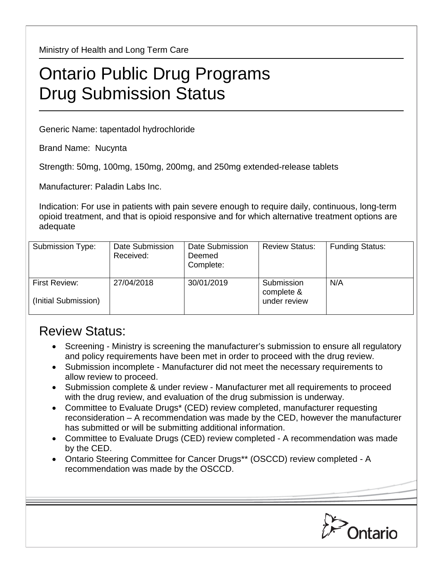Ministry of Health and Long Term Care

## Ontario Public Drug Programs Drug Submission Status

Generic Name: tapentadol hydrochloride

Brand Name: Nucynta

Strength: 50mg, 100mg, 150mg, 200mg, and 250mg extended-release tablets

Manufacturer: Paladin Labs Inc.

Indication: For use in patients with pain severe enough to require daily, continuous, long-term opioid treatment, and that is opioid responsive and for which alternative treatment options are adequate

| Submission Type:                      | Date Submission<br>Received: | Date Submission<br>Deemed<br>Complete: | <b>Review Status:</b>                    | <b>Funding Status:</b> |
|---------------------------------------|------------------------------|----------------------------------------|------------------------------------------|------------------------|
| First Review:<br>(Initial Submission) | 27/04/2018                   | 30/01/2019                             | Submission<br>complete &<br>under review | N/A                    |

## Review Status:

- Screening Ministry is screening the manufacturer's submission to ensure all regulatory and policy requirements have been met in order to proceed with the drug review.
- Submission incomplete Manufacturer did not meet the necessary requirements to allow review to proceed.
- Submission complete & under review Manufacturer met all requirements to proceed with the drug review, and evaluation of the drug submission is underway.
- Committee to Evaluate Drugs\* (CED) review completed, manufacturer requesting reconsideration – A recommendation was made by the CED, however the manufacturer has submitted or will be submitting additional information.
- Committee to Evaluate Drugs (CED) review completed A recommendation was made by the CED.
- Ontario Steering Committee for Cancer Drugs\*\* (OSCCD) review completed A recommendation was made by the OSCCD.